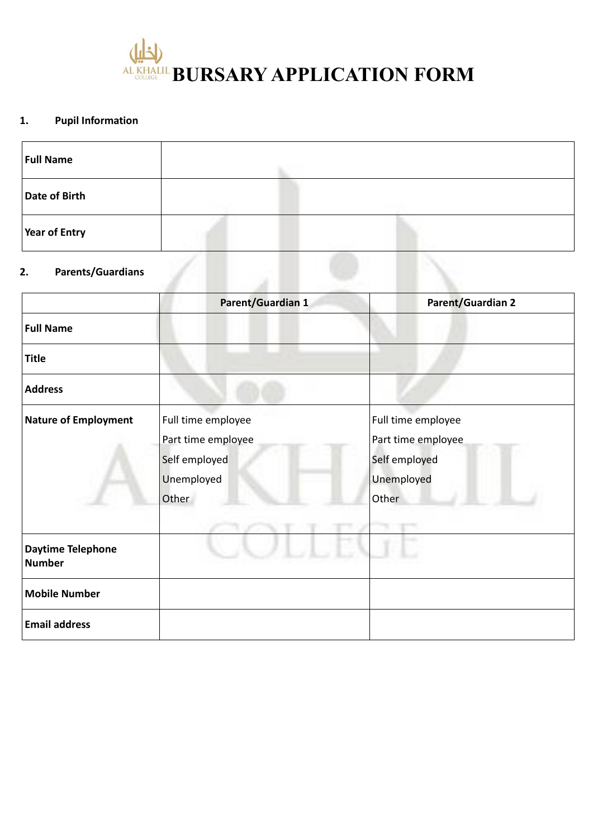

# **1. Pupil Information**

| <b>Full Name</b>               |  |  |  |
|--------------------------------|--|--|--|
| Date of Birth                  |  |  |  |
| Year of Entry                  |  |  |  |
| <b>Parents/Guardians</b><br>2. |  |  |  |

|                                           | Parent/Guardian 1  | <b>Parent/Guardian 2</b> |
|-------------------------------------------|--------------------|--------------------------|
| <b>Full Name</b>                          |                    |                          |
| <b>Title</b>                              |                    |                          |
| <b>Address</b>                            |                    |                          |
| <b>Nature of Employment</b>               | Full time employee | Full time employee       |
|                                           | Part time employee | Part time employee       |
|                                           | Self employed      | Self employed            |
|                                           | Unemployed         | Unemployed               |
|                                           | Other              | Other                    |
|                                           |                    |                          |
| <b>Daytime Telephone</b><br><b>Number</b> |                    |                          |
| <b>Mobile Number</b>                      |                    |                          |
| <b>Email address</b>                      |                    |                          |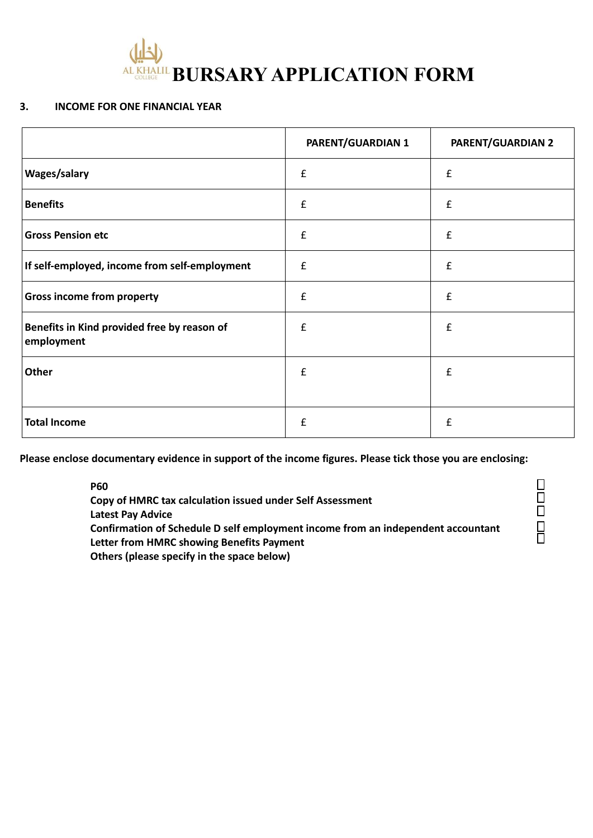

#### **3. INCOME FOR ONE FINANCIAL YEAR**

|                                                           | <b>PARENT/GUARDIAN 1</b> | <b>PARENT/GUARDIAN 2</b> |
|-----------------------------------------------------------|--------------------------|--------------------------|
| Wages/salary                                              | $\pmb{\mathsf{f}}$       | $\pmb{\mathsf{f}}$       |
| <b>Benefits</b>                                           | $\pmb{\mathsf{f}}$       | $\pmb{\mathsf{f}}$       |
| <b>Gross Pension etc</b>                                  | £                        | $\pmb{\mathsf{f}}$       |
| If self-employed, income from self-employment             | $\pmb{\mathsf{f}}$       | £                        |
| <b>Gross income from property</b>                         | £                        | £                        |
| Benefits in Kind provided free by reason of<br>employment | $\pmb{\mathsf{f}}$       | $\pmb{\mathsf{f}}$       |
| Other                                                     | £                        | $\pmb{\mathsf{f}}$       |
| <b>Total Income</b>                                       | £                        | $\pmb{\mathsf{f}}$       |

**Please enclose documentary evidence in support of the income figures. Please tick those you are enclosing:**

**P60**

**Copy of HMRC tax calculation issued under Self Assessment Latest Pay Advice Confirmation of Schedule D self employment income from an independent accountant Letter from HMRC showing Benefits Payment Others (please specify in the space below)**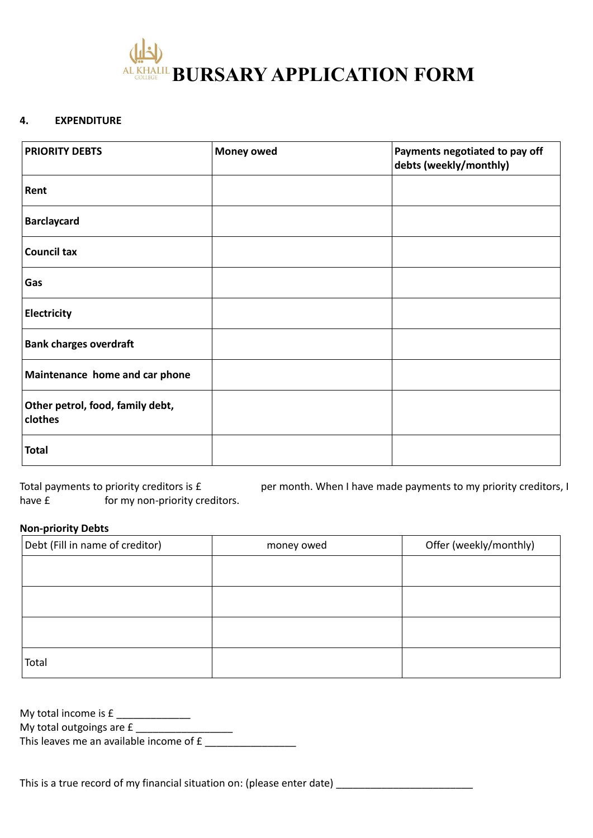

#### **4. EXPENDITURE**

| <b>PRIORITY DEBTS</b>                       | <b>Money owed</b> | Payments negotiated to pay off<br>debts (weekly/monthly) |
|---------------------------------------------|-------------------|----------------------------------------------------------|
| Rent                                        |                   |                                                          |
| <b>Barclaycard</b>                          |                   |                                                          |
| <b>Council tax</b>                          |                   |                                                          |
| Gas                                         |                   |                                                          |
| Electricity                                 |                   |                                                          |
| <b>Bank charges overdraft</b>               |                   |                                                          |
| Maintenance home and car phone              |                   |                                                          |
| Other petrol, food, family debt,<br>clothes |                   |                                                          |
| <b>Total</b>                                |                   |                                                          |

Total payments to priority creditors is £ per month. When I have made payments to my priority creditors, I have £ for my non-priority creditors.

#### **Non-priority Debts**

| Debt (Fill in name of creditor) | money owed | Offer (weekly/monthly) |
|---------------------------------|------------|------------------------|
|                                 |            |                        |
|                                 |            |                        |
|                                 |            |                        |
|                                 |            |                        |
| Total                           |            |                        |

My total income is  $f$  \_\_\_\_\_\_\_\_\_\_\_\_\_\_\_ My total outgoings are £ \_\_\_\_\_\_\_\_\_\_\_\_\_\_\_\_\_\_\_\_

This leaves me an available income of £ \_\_\_\_\_\_\_\_\_\_\_\_\_\_\_\_

This is a true record of my financial situation on: (please enter date)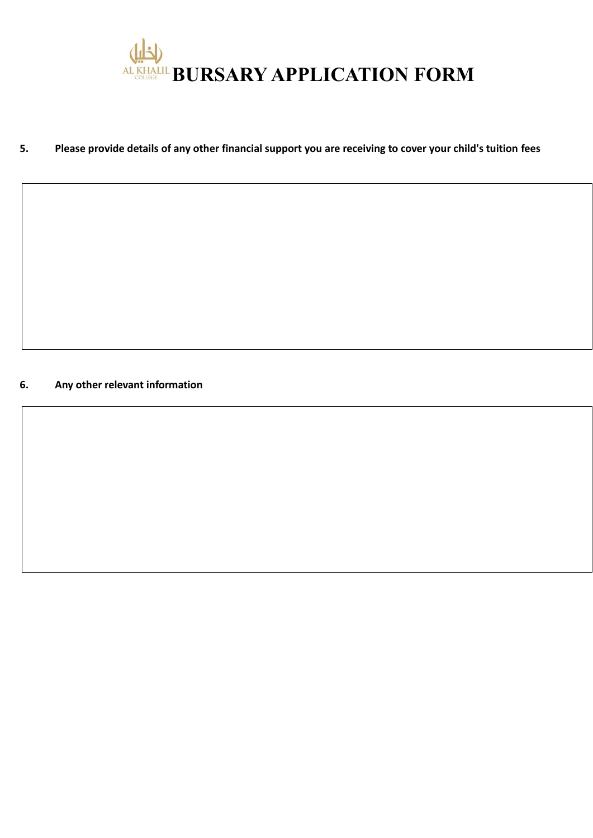

# **5. Please provide details of any other financial support you are receiving to cover your child's tuition fees**

## **6. Any other relevant information**